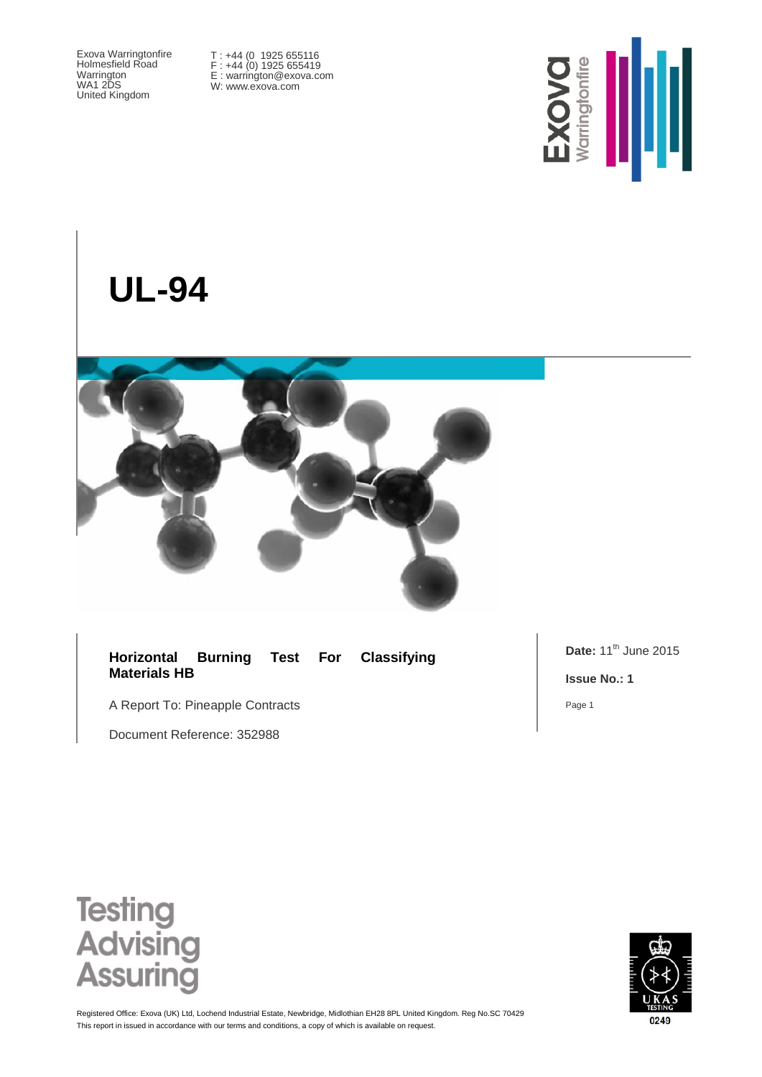Exova Warringtonfire Holmesfield Road Warrington WA1 2DS United Kingdom

T : +44 (0 1925 655116 F : +44 (0) 1925 655419 E : warrington@exova.com W: www.exova.com



# **UL-94**



#### **Horizontal Burning Test For Classifying Materials HB**

A Report To: Pineapple Contracts

Document Reference: 352988

**Date:** 11<sup>th</sup> June 2015

**Issue No.: 1**

Page 1





This report in issued in accordance with our terms and conditions, a copy of which is available on request. Registered Office: Exova (UK) Ltd, Lochend Industrial Estate, Newbridge, Midlothian EH28 8PL United Kingdom. Reg No.SC 70429

0249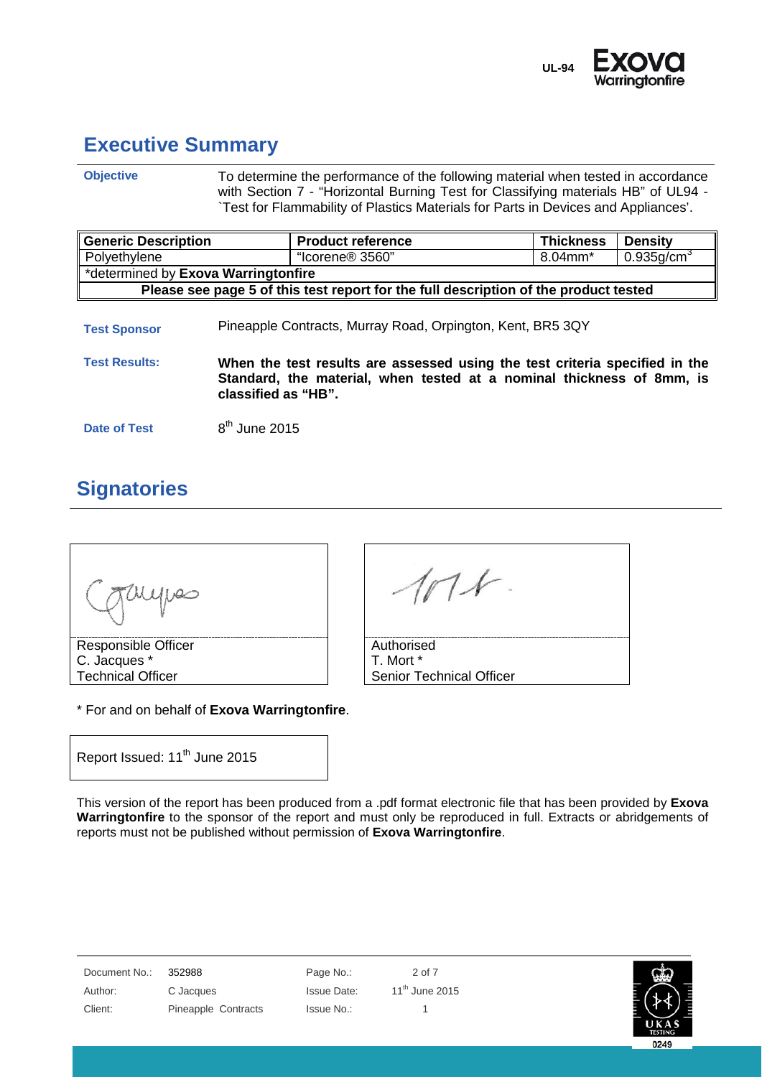

0249

### <span id="page-1-0"></span>**Executive Summary**

**Objective** To determine the performance of the following material when tested in accordance with Section 7 - "Horizontal Burning Test for Classifying materials HB" of UL94 -`Test for Flammability of Plastics Materials for Parts in Devices and Appliances'.

| <b>Generic Description</b>                                                           | <b>Product reference</b>                                                                                                                                                    | <b>Thickness</b> | <b>Density</b>            |  |  |
|--------------------------------------------------------------------------------------|-----------------------------------------------------------------------------------------------------------------------------------------------------------------------------|------------------|---------------------------|--|--|
| Polyethylene                                                                         | "Icorene <sup>®</sup> 3560"                                                                                                                                                 | 8.04mm*          | $0.935$ g/cm <sup>3</sup> |  |  |
|                                                                                      | *determined by Exova Warringtonfire                                                                                                                                         |                  |                           |  |  |
| Please see page 5 of this test report for the full description of the product tested |                                                                                                                                                                             |                  |                           |  |  |
| <b>Test Sponsor</b>                                                                  | Pineapple Contracts, Murray Road, Orpington, Kent, BR5 3QY                                                                                                                  |                  |                           |  |  |
| <b>Test Results:</b>                                                                 | When the test results are assessed using the test criteria specified in the<br>Standard, the material, when tested at a nominal thickness of 8mm, is<br>classified as "HB". |                  |                           |  |  |

**Date of Test** 8<sup>th</sup> June 2015

## <span id="page-1-1"></span>**Signatories**



\* For and on behalf of **Exova Warringtonfire**.

Report Issued: 11<sup>th</sup> June 2015

This version of the report has been produced from a .pdf format electronic file that has been provided by **Exova Warringtonfire** to the sponsor of the report and must only be reproduced in full. Extracts or abridgements of reports must not be published without permission of **Exova Warringtonfire**.

| Document No.: | 352988              | Page No.:          | 2 of 7                     | යු             |
|---------------|---------------------|--------------------|----------------------------|----------------|
| Author:       | C Jacques           | <b>Issue Date:</b> | 11 <sup>th</sup> June 2015 |                |
| Client:       | Pineapple Contracts | Issue No.:         |                            | <b>TESTING</b> |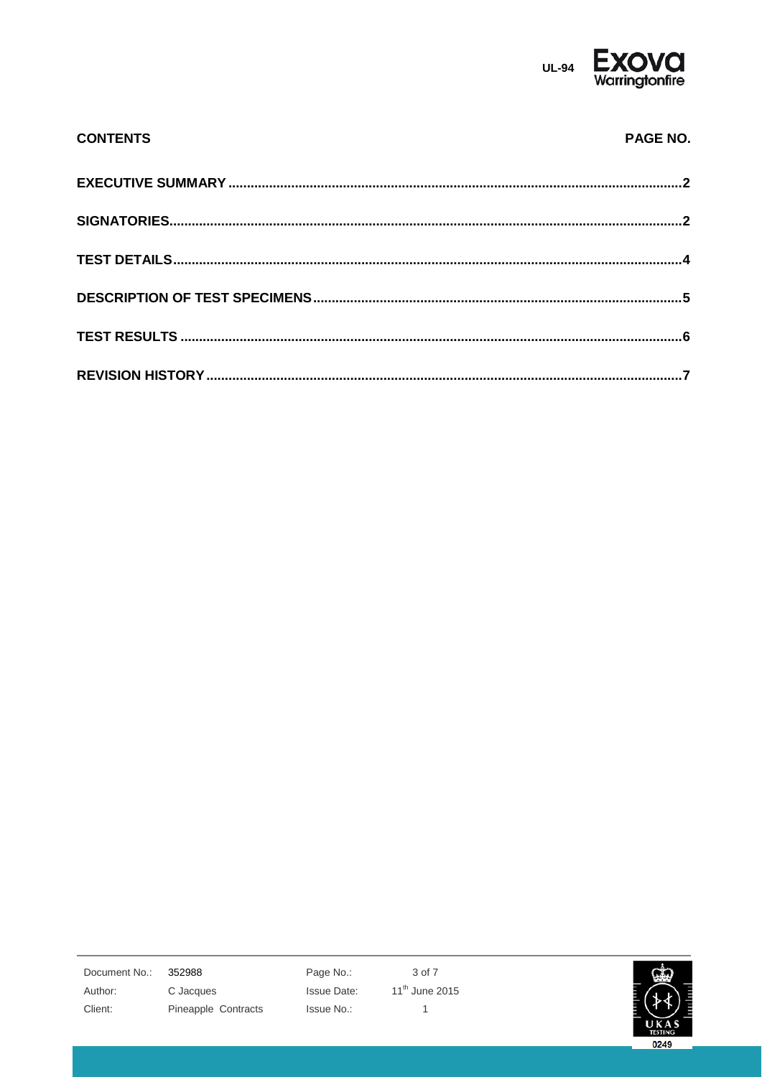

| <b>CONTENTS</b> | PAGE NO. |
|-----------------|----------|
|                 |          |
|                 |          |
|                 |          |
|                 |          |
|                 |          |
|                 |          |

352988 Document No.: Author: Client:

C Jacques Pineapple Contracts Page No.: Issue Date: Issue No.:

3 of 7 11<sup>th</sup> June 2015  $\mathbf{1}$ 

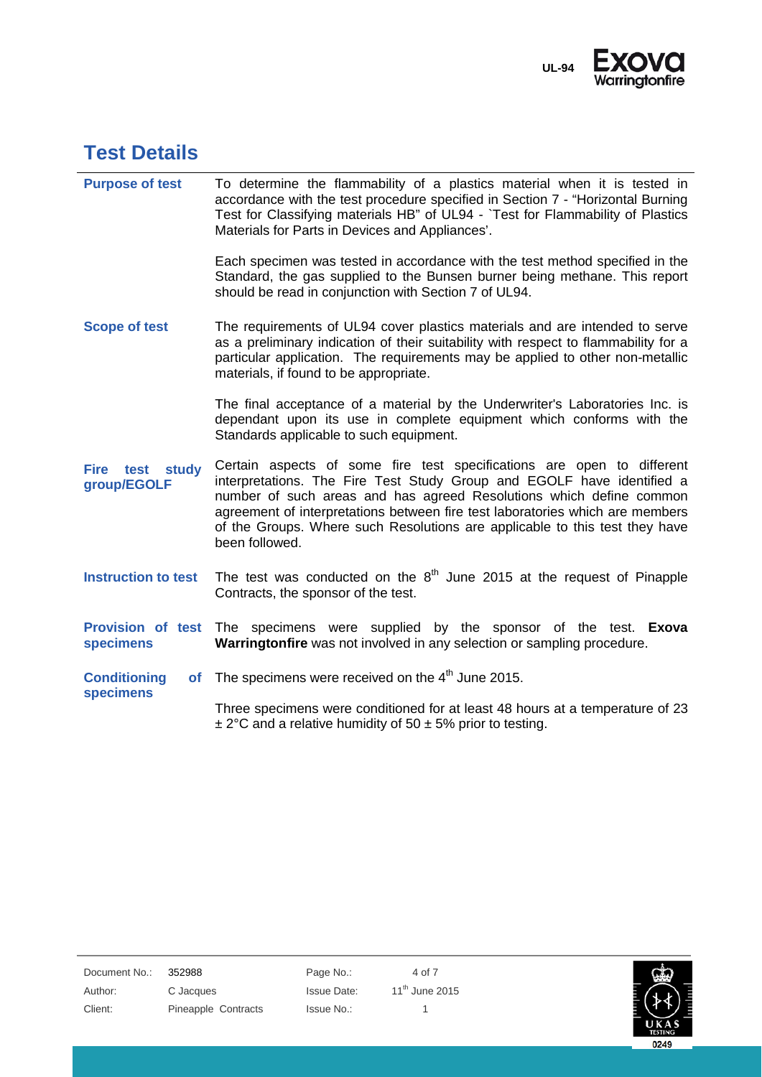

#### <span id="page-3-0"></span>**Test Details**

**specimens**

**Purpose of test** To determine the flammability of a plastics material when it is tested in accordance with the test procedure specified in Section 7 - "Horizontal Burning Test for Classifying materials HB" of UL94 - `Test for Flammability of Plastics Materials for Parts in Devices and Appliances'.

> Each specimen was tested in accordance with the test method specified in the Standard, the gas supplied to the Bunsen burner being methane. This report should be read in conjunction with Section 7 of UL94.

**Scope of test** The requirements of UL94 cover plastics materials and are intended to serve as a preliminary indication of their suitability with respect to flammability for a particular application. The requirements may be applied to other non-metallic materials, if found to be appropriate.

> The final acceptance of a material by the Underwriter's Laboratories Inc. is dependant upon its use in complete equipment which conforms with the Standards applicable to such equipment.

- **Fire test study group/EGOLF** Certain aspects of some fire test specifications are open to different interpretations. The Fire Test Study Group and EGOLF have identified a number of such areas and has agreed Resolutions which define common agreement of interpretations between fire test laboratories which are members of the Groups. Where such Resolutions are applicable to this test they have been followed.
- **Instruction to test** The test was conducted on the 8<sup>th</sup> June 2015 at the request of Pinapple Contracts, the sponsor of the test.
- **Provision of test**  The specimens were supplied by the sponsor of the test. **Exova specimens Warringtonfire** was not involved in any selection or sampling procedure.
- **Conditioning** of The specimens were received on the  $4<sup>th</sup>$  June 2015.

Three specimens were conditioned for at least 48 hours at a temperature of 23  $\pm$  2°C and a relative humidity of 50  $\pm$  5% prior to testing.

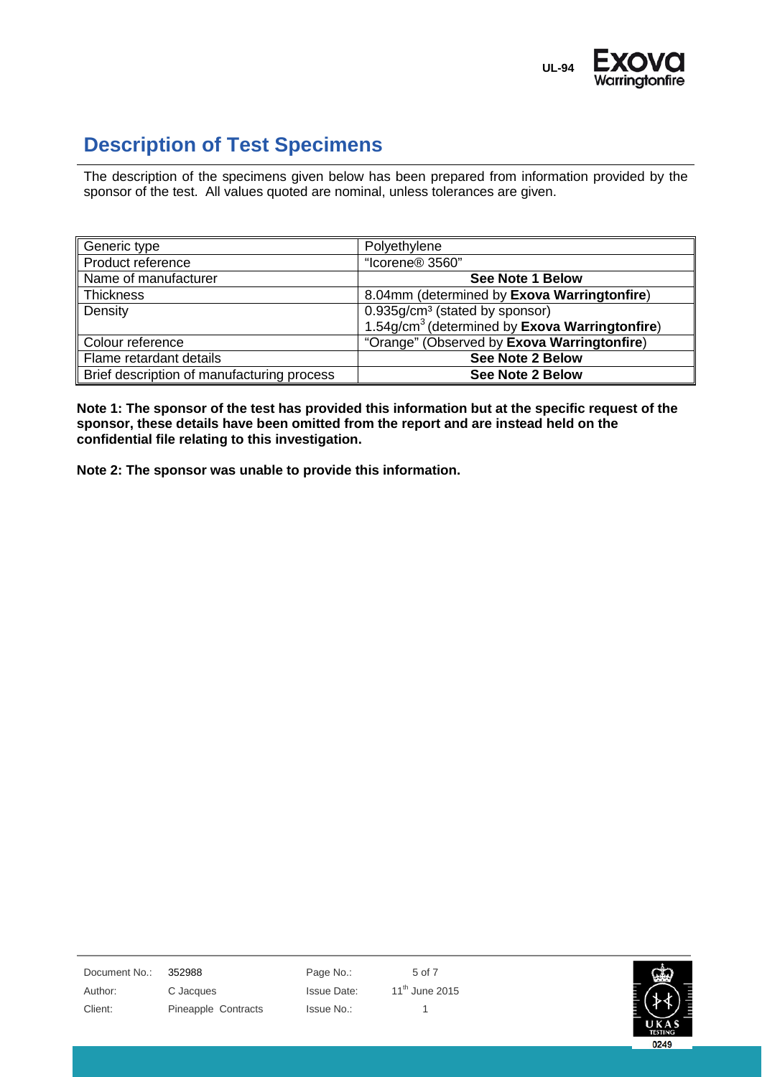

## <span id="page-4-0"></span>**Description of Test Specimens**

The description of the specimens given below has been prepared from information provided by the sponsor of the test. All values quoted are nominal, unless tolerances are given.

| Generic type                               | Polyethylene                                               |
|--------------------------------------------|------------------------------------------------------------|
| Product reference                          | "Icorene® 3560"                                            |
| Name of manufacturer                       | <b>See Note 1 Below</b>                                    |
| Thickness                                  | 8.04mm (determined by Exova Warringtonfire)                |
| Density                                    | 0.935g/cm <sup>3</sup> (stated by sponsor)                 |
|                                            | 1.54g/cm <sup>3</sup> (determined by Exova Warringtonfire) |
| Colour reference                           | "Orange" (Observed by Exova Warringtonfire)                |
| Flame retardant details                    | <b>See Note 2 Below</b>                                    |
| Brief description of manufacturing process | <b>See Note 2 Below</b>                                    |

**Note 1: The sponsor of the test has provided this information but at the specific request of the sponsor, these details have been omitted from the report and are instead held on the confidential file relating to this investigation.**

**Note 2: The sponsor was unable to provide this information.**

Document No.: 352988 Page No.: 5 of 7 Author: C Jacques C Sacces Issue Date: 11<sup>th</sup> June 2015

Client: Pineapple Contracts Issue No.: 1

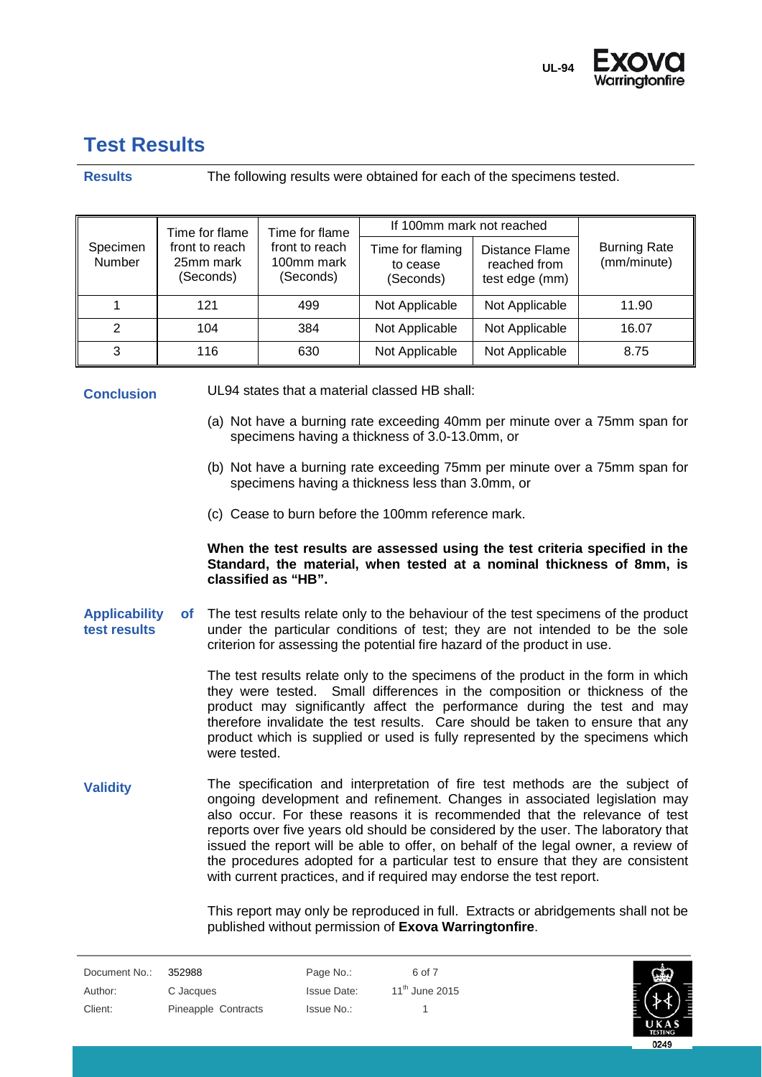

#### <span id="page-5-0"></span>**Test Results**

#### **Results** The following results were obtained for each of the specimens tested.

|                    | Time for flame<br>Time for flame         |                                           | If 100mm mark not reached                 |                                                         |                                    |
|--------------------|------------------------------------------|-------------------------------------------|-------------------------------------------|---------------------------------------------------------|------------------------------------|
| Specimen<br>Number | front to reach<br>25mm mark<br>(Seconds) | front to reach<br>100mm mark<br>(Seconds) | Time for flaming<br>to cease<br>(Seconds) | <b>Distance Flame</b><br>reached from<br>test edge (mm) | <b>Burning Rate</b><br>(mm/minute) |
|                    | 121                                      | 499                                       | Not Applicable                            | Not Applicable                                          | 11.90                              |
| 2                  | 104                                      | 384                                       | Not Applicable                            | Not Applicable                                          | 16.07                              |
| 3                  | 116                                      | 630                                       | Not Applicable                            | Not Applicable                                          | 8.75                               |

**Conclusion** UL94 states that a material classed HB shall:

- (a) Not have a burning rate exceeding 40mm per minute over a 75mm span for specimens having a thickness of 3.0-13.0mm, or
- (b) Not have a burning rate exceeding 75mm per minute over a 75mm span for specimens having a thickness less than 3.0mm, or
- (c) Cease to burn before the 100mm reference mark.

#### **When the test results are assessed using the test criteria specified in the Standard, the material, when tested at a nominal thickness of 8mm, is classified as "HB".**

**Applicability of test results** The test results relate only to the behaviour of the test specimens of the product under the particular conditions of test; they are not intended to be the sole criterion for assessing the potential fire hazard of the product in use.

> The test results relate only to the specimens of the product in the form in which they were tested. Small differences in the composition or thickness of the product may significantly affect the performance during the test and may therefore invalidate the test results. Care should be taken to ensure that any product which is supplied or used is fully represented by the specimens which were tested.

**Validity** The specification and interpretation of fire test methods are the subject of ongoing development and refinement. Changes in associated legislation may also occur. For these reasons it is recommended that the relevance of test reports over five years old should be considered by the user. The laboratory that issued the report will be able to offer, on behalf of the legal owner, a review of the procedures adopted for a particular test to ensure that they are consistent with current practices, and if required may endorse the test report.

> This report may only be reproduced in full. Extracts or abridgements shall not be published without permission of **Exova Warringtonfire**.

| Document No.: | 352988              | Page No.:   | 6 of 7              |
|---------------|---------------------|-------------|---------------------|
| Author:       | C Jacques           | Issue Date: | $11^{th}$ June 2015 |
| Client:       | Pineapple Contracts | Issue No.:  |                     |